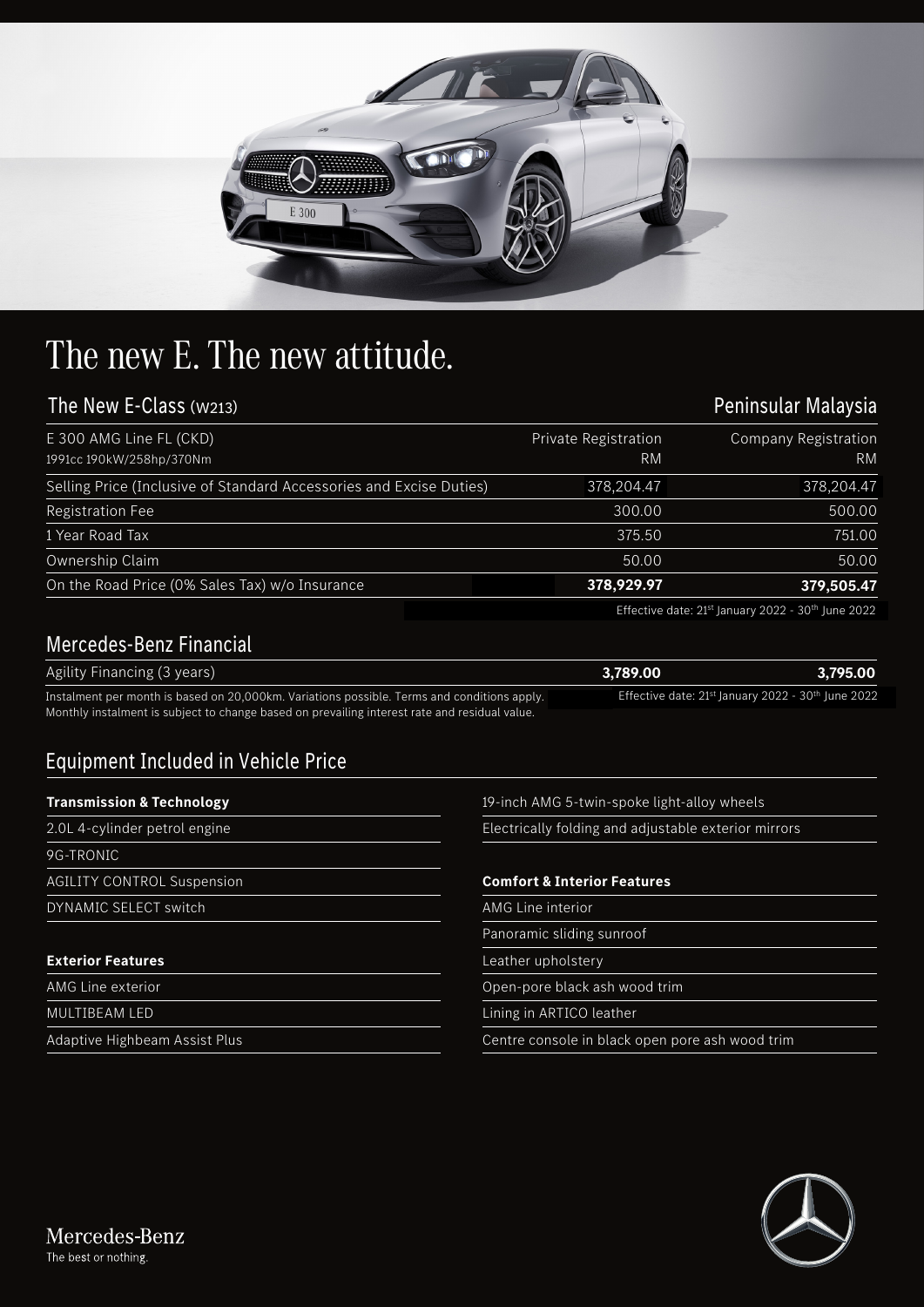

## The new E. The new attitude.

## The New E-Class (W213)

| The New E-Class (w213)                                              |                            | Peninsular Malaysia               |  |
|---------------------------------------------------------------------|----------------------------|-----------------------------------|--|
| E 300 AMG Line FL (CKD)<br>1991cc 190kW/258hp/370Nm                 | Private Registration<br>RM | Company Registration<br><b>RM</b> |  |
| Selling Price (Inclusive of Standard Accessories and Excise Duties) | 378,204.47                 | 378,204.47                        |  |
| Registration Fee                                                    | 300.00                     | 500.00                            |  |
| 1 Year Road Tax                                                     | 375.50                     | 751.00                            |  |
| Ownership Claim                                                     | 50.00                      | 50.00                             |  |
| On the Road Price (0% Sales Tax) w/o Insurance                      | 378,929.97                 | 379,505.47                        |  |

## Mercedes-Benz Financial

|                                                                                                                                                                                              | Effective date: 21 <sup>st</sup> January 2022 - 30 <sup>th</sup> June 2022 |          |
|----------------------------------------------------------------------------------------------------------------------------------------------------------------------------------------------|----------------------------------------------------------------------------|----------|
| <b>Mercedes-Benz Financial</b>                                                                                                                                                               |                                                                            |          |
| Agility Financing (3 years)                                                                                                                                                                  | 3.789.00                                                                   | 3.795.00 |
| Instalment per month is based on 20,000km. Variations possible. Terms and conditions apply.<br>Monthly instalment is subject to change based on prevailing interest rate and residual value. | Effective date: 21st January 2022 - 30th June 2022.                        |          |

## Equipment Included in Vehicle Price

| <b>Transmission &amp; Technology</b> | 19-inch AMG 5-twin-spoke light-alloy wheels          |  |
|--------------------------------------|------------------------------------------------------|--|
| 2.0L 4-cylinder petrol engine        | Electrically folding and adjustable exterior mirrors |  |
| 9G-TRONIC                            |                                                      |  |
| <b>AGILITY CONTROL Suspension</b>    | <b>Comfort &amp; Interior Features</b>               |  |
| DYNAMIC SELECT switch                | AMG Line interior                                    |  |
|                                      | Panoramic sliding sunroof                            |  |
| <b>Exterior Features</b>             | Leather upholstery                                   |  |
| <b>AMG Line exterior</b>             | Open-pore black ash wood trim                        |  |
| <b>MULTIBEAM LED</b>                 | Lining in ARTICO leather                             |  |
| Adaptive Highbeam Assist Plus        | Centre console in black open pore ash wood trim      |  |